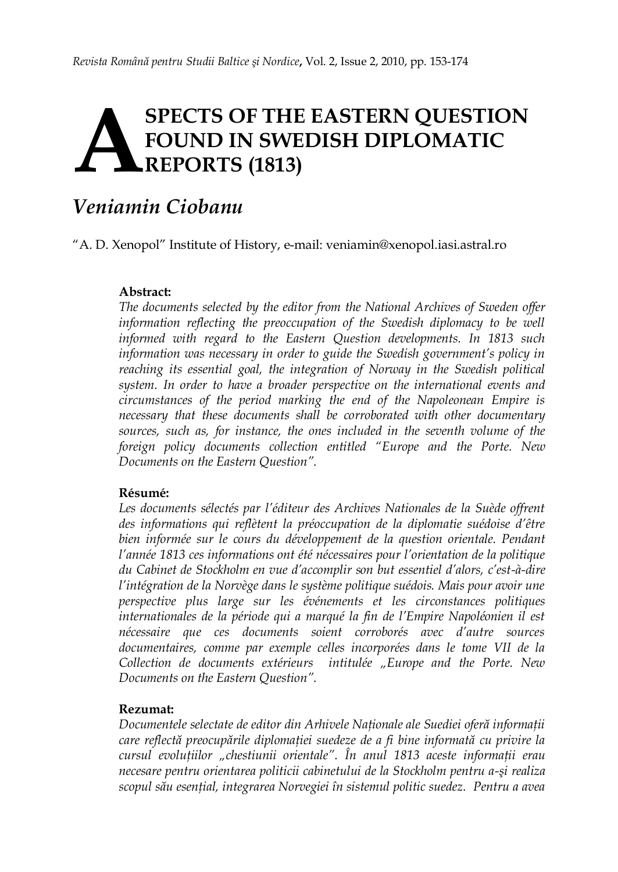# **SPECTS OF THE EASTERN QUESTION FOUND IN SWEDISH DIPLOMATIC REPORTS (1813) A**

## *Veniamin Ciobanu*

"A. D. Xenopol" Institute of History, e-mail: veniamin@xenopol.iasi.astral.ro

#### **Abstract:**

*The documents selected by the editor from the National Archives of Sweden offer*  information reflecting the preoccupation of the Swedish diplomacy to be well *informed with regard to the Eastern Question developments. In 1813 such information was necessary in order to guide the Swedish government's policy in*  reaching its essential goal, the integration of Norway in the Swedish political *system. In order to have a broader perspective on the international events and circumstances of the period marking the end of the Napoleonean Empire is necessary that these documents shall be corroborated with other documentary*  sources, such as, for instance, the ones included in the seventh volume of the *foreign policy documents collection entitled "Europe and the Porte. New Documents on the Eastern Question".*

#### **Résumé:**

*Les documents sélectés par l'éditeur des Archives Nationales de la Suède offrent des informations qui reflètent la préoccupation de la diplomatie suédoise d'être*  bien informée sur le cours du développement de la question orientale. Pendant *l'année 1813 ces informations ont été nécessaires pour l'orientation de la politique du Cabinet de Stockholm en vue d'accomplir son but essentiel d'alors, c'est-à-dire l'intégration de la Norvège dans le système politique suédois. Mais pour avoir une perspective plus large sur les événements et les circonstances politiques internationales de la période qui a marqué la fin de l'Empire Napoléonien il est nécessaire que ces documents soient corroborés avec d'autre sources documentaires, comme par exemple celles incorporées dans le tome VII de la Collection de documents extérieurs intitulée "Europe and the Porte. New Documents on the Eastern Question".*

#### **Rezumat:**

*Documentele selectate de editor din Arhivele Naţionale ale Suediei oferă informaţii care reflectă preocupările diplomaţiei suedeze de a fi bine informată cu privire la cursul evoluţiilor "chestiunii orientale". În anul 1813 aceste informaţii erau necesare pentru orientarea politicii cabinetului de la Stockholm pentru a-şi realiza scopul său esenţial, integrarea Norvegiei în sistemul politic suedez. Pentru a avea*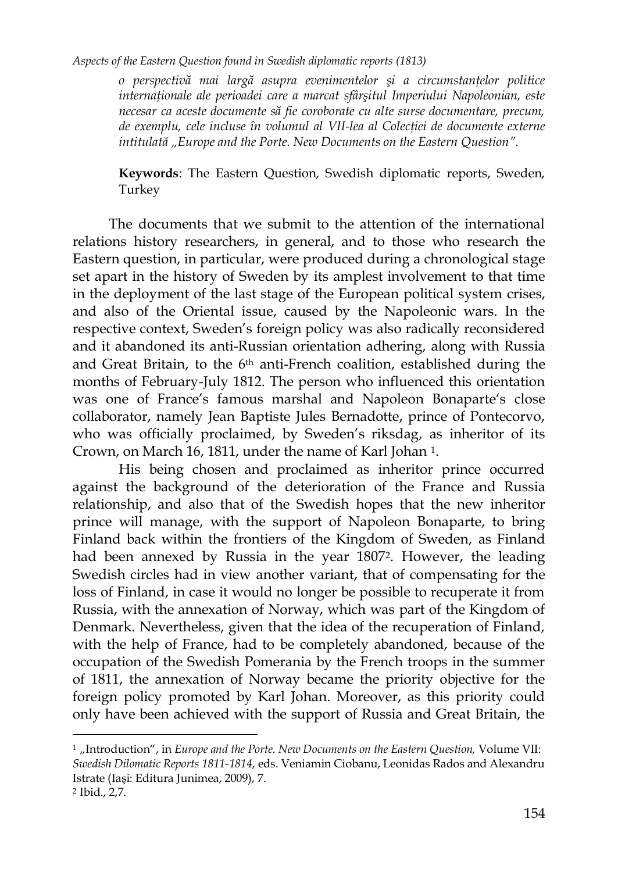*o perspectivă mai largă asupra evenimentelor şi a circumstanţelor politice internaţionale ale perioadei care a marcat sfârşitul Imperiului Napoleonian, este necesar ca aceste documente să fie coroborate cu alte surse documentare, precum, de exemplu, cele incluse în volumul al VII-lea al Colecţiei de documente externe intitulată "Europe and the Porte. New Documents on the Eastern Question".*

**Keywords**: The Eastern Question, Swedish diplomatic reports, Sweden, Turkey

The documents that we submit to the attention of the international relations history researchers, in general, and to those who research the Eastern question, in particular, were produced during a chronological stage set apart in the history of Sweden by its amplest involvement to that time in the deployment of the last stage of the European political system crises, and also of the Oriental issue, caused by the Napoleonic wars. In the respective context, Sweden"s foreign policy was also radically reconsidered and it abandoned its anti-Russian orientation adhering, along with Russia and Great Britain, to the 6<sup>th</sup> anti-French coalition, established during the months of February-July 1812. The person who influenced this orientation was one of France's famous marshal and Napoleon Bonaparte's close collaborator, namely Jean Baptiste Jules Bernadotte, prince of Pontecorvo, who was officially proclaimed, by Sweden's riksdag, as inheritor of its Crown, on March 16, 1811, under the name of Karl Johan 1.

His being chosen and proclaimed as inheritor prince occurred against the background of the deterioration of the France and Russia relationship, and also that of the Swedish hopes that the new inheritor prince will manage, with the support of Napoleon Bonaparte, to bring Finland back within the frontiers of the Kingdom of Sweden, as Finland had been annexed by Russia in the year 18072. However, the leading Swedish circles had in view another variant, that of compensating for the loss of Finland, in case it would no longer be possible to recuperate it from Russia, with the annexation of Norway, which was part of the Kingdom of Denmark. Nevertheless, given that the idea of the recuperation of Finland, with the help of France, had to be completely abandoned, because of the occupation of the Swedish Pomerania by the French troops in the summer of 1811, the annexation of Norway became the priority objective for the foreign policy promoted by Karl Johan. Moreover, as this priority could only have been achieved with the support of Russia and Great Britain, the

<sup>&</sup>lt;sup>1</sup> "Introduction", in *Europe and the Porte. New Documents on the Eastern Question*, Volume VII: *Swedish Dilomatic Reports 1811-1814*, eds. Veniamin Ciobanu, Leonidas Rados and Alexandru Istrate (Iaşi: Editura Junimea, 2009), 7.

<sup>2</sup> Ibid., 2,7.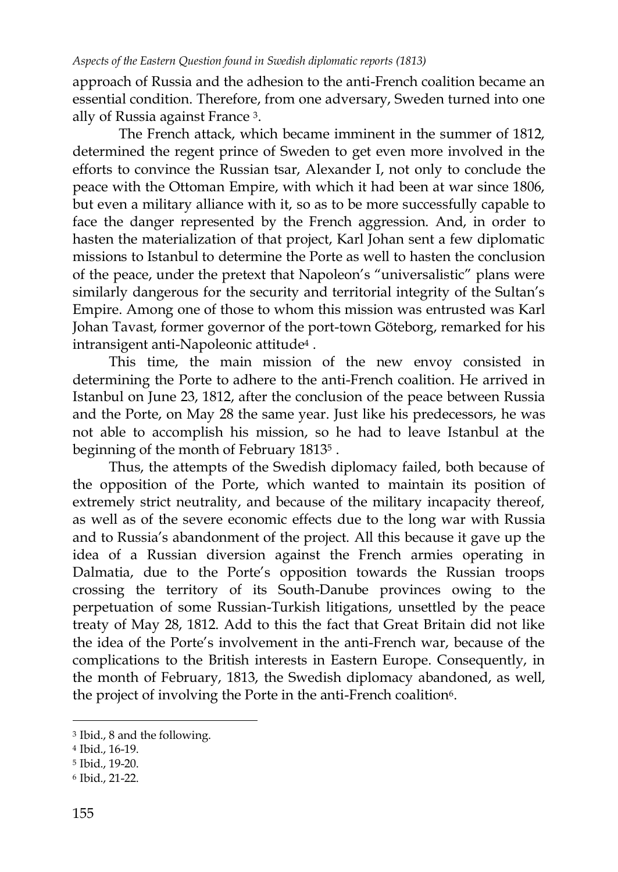approach of Russia and the adhesion to the anti-French coalition became an essential condition. Therefore, from one adversary, Sweden turned into one ally of Russia against France 3.

The French attack, which became imminent in the summer of 1812, determined the regent prince of Sweden to get even more involved in the efforts to convince the Russian tsar, Alexander I, not only to conclude the peace with the Ottoman Empire, with which it had been at war since 1806, but even a military alliance with it, so as to be more successfully capable to face the danger represented by the French aggression. And, in order to hasten the materialization of that project, Karl Johan sent a few diplomatic missions to Istanbul to determine the Porte as well to hasten the conclusion of the peace, under the pretext that Napoleon"s "universalistic" plans were similarly dangerous for the security and territorial integrity of the Sultan's Empire. Among one of those to whom this mission was entrusted was Karl Johan Tavast, former governor of the port-town Göteborg, remarked for his intransigent anti-Napoleonic attitude<sup>4</sup> .

This time, the main mission of the new envoy consisted in determining the Porte to adhere to the anti-French coalition. He arrived in Istanbul on June 23, 1812, after the conclusion of the peace between Russia and the Porte, on May 28 the same year. Just like his predecessors, he was not able to accomplish his mission, so he had to leave Istanbul at the beginning of the month of February 1813<sup>5</sup> .

Thus, the attempts of the Swedish diplomacy failed, both because of the opposition of the Porte, which wanted to maintain its position of extremely strict neutrality, and because of the military incapacity thereof, as well as of the severe economic effects due to the long war with Russia and to Russia"s abandonment of the project. All this because it gave up the idea of a Russian diversion against the French armies operating in Dalmatia, due to the Porte's opposition towards the Russian troops crossing the territory of its South-Danube provinces owing to the perpetuation of some Russian-Turkish litigations, unsettled by the peace treaty of May 28, 1812. Add to this the fact that Great Britain did not like the idea of the Porte"s involvement in the anti-French war, because of the complications to the British interests in Eastern Europe. Consequently, in the month of February, 1813, the Swedish diplomacy abandoned, as well, the project of involving the Porte in the anti-French coalition<sup>6</sup>.

<sup>3</sup> Ibid., 8 and the following.

<sup>4</sup> Ibid., 16-19.

<sup>5</sup> Ibid., 19-20.

<sup>6</sup> Ibid., 21-22.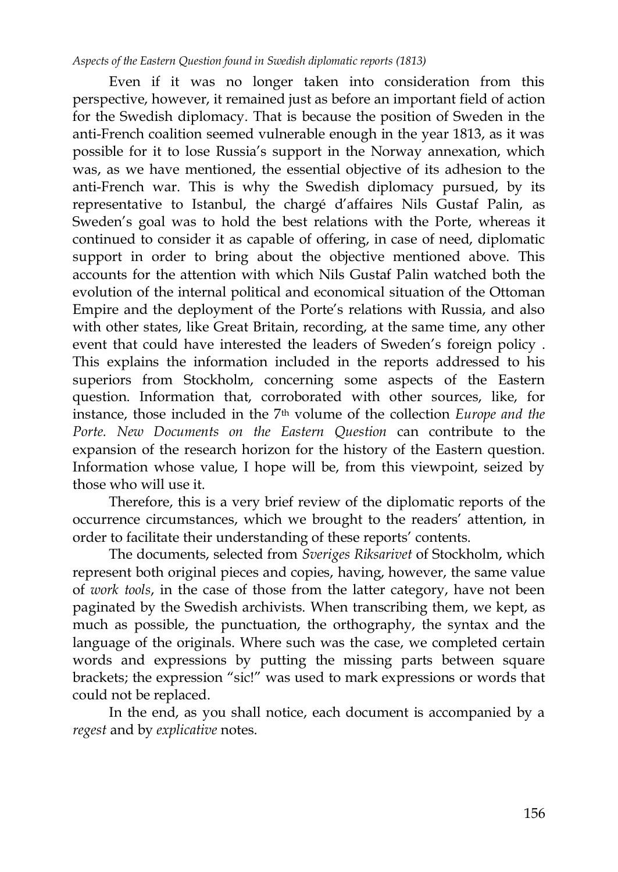Even if it was no longer taken into consideration from this perspective, however, it remained just as before an important field of action for the Swedish diplomacy. That is because the position of Sweden in the anti-French coalition seemed vulnerable enough in the year 1813, as it was possible for it to lose Russia"s support in the Norway annexation, which was, as we have mentioned, the essential objective of its adhesion to the anti-French war. This is why the Swedish diplomacy pursued, by its representative to Istanbul, the chargé d"affaires Nils Gustaf Palin, as Sweden"s goal was to hold the best relations with the Porte, whereas it continued to consider it as capable of offering, in case of need, diplomatic support in order to bring about the objective mentioned above. This accounts for the attention with which Nils Gustaf Palin watched both the evolution of the internal political and economical situation of the Ottoman Empire and the deployment of the Porte's relations with Russia, and also with other states, like Great Britain, recording, at the same time, any other event that could have interested the leaders of Sweden"s foreign policy . This explains the information included in the reports addressed to his superiors from Stockholm, concerning some aspects of the Eastern question. Information that, corroborated with other sources, like, for instance, those included in the 7th volume of the collection *Europe and the Porte. New Documents on the Eastern Question* can contribute to the expansion of the research horizon for the history of the Eastern question. Information whose value, I hope will be, from this viewpoint, seized by those who will use it.

Therefore, this is a very brief review of the diplomatic reports of the occurrence circumstances, which we brought to the readers" attention, in order to facilitate their understanding of these reports' contents.

The documents, selected from *Sveriges Riksarivet* of Stockholm, which represent both original pieces and copies, having, however, the same value of *work tools*, in the case of those from the latter category, have not been paginated by the Swedish archivists. When transcribing them, we kept, as much as possible, the punctuation, the orthography, the syntax and the language of the originals. Where such was the case, we completed certain words and expressions by putting the missing parts between square brackets; the expression "sic!" was used to mark expressions or words that could not be replaced.

In the end, as you shall notice, each document is accompanied by a *regest* and by *explicative* notes.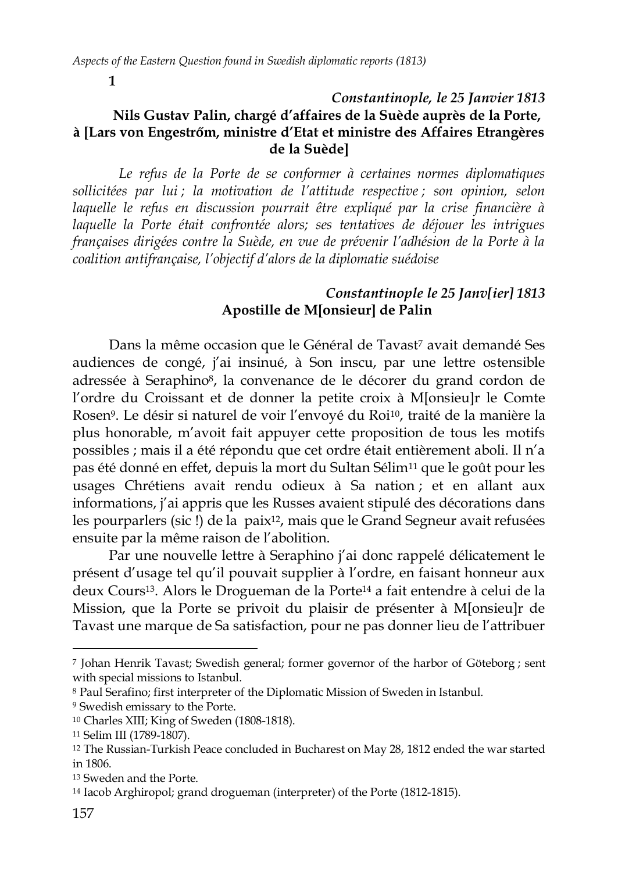**1**

## *Constantinople, le 25 Janvier 1813* **Nils Gustav Palin, chargé d'affaires de la Suède auprès de la Porte, à [Lars von Engestrőm, ministre d'Etat et ministre des Affaires Etrangères de la Suède]**

*Le refus de la Porte de se conformer à certaines normes diplomatiques sollicitées par lui ; la motivation de l'attitude respective ; son opinion, selon laquelle le refus en discussion pourrait être expliqué par la crise financière à*  laquelle la Porte était confrontée alors; ses tentatives de déjouer les intrigues *françaises dirigées contre la Suède, en vue de prévenir l'adhésion de la Porte à la coalition antifrançaise, l'objectif d'alors de la diplomatie suédoise* 

## *Constantinople le 25 Janv[ier] 1813* **Apostille de M[onsieur] de Palin**

Dans la même occasion que le Général de Tavast<sup>7</sup> avait demandé Ses audiences de congé, j'ai insinué, à Son inscu, par une lettre ostensible adressée à Seraphino8, la convenance de le décorer du grand cordon de l"ordre du Croissant et de donner la petite croix à M[onsieu]r le Comte Rosen9. Le désir si naturel de voir l"envoyé du Roi10, traité de la manière la plus honorable, m"avoit fait appuyer cette proposition de tous les motifs possibles ; mais il a été répondu que cet ordre était entièrement aboli. Il n"a pas été donné en effet, depuis la mort du Sultan Sélim<sup>11</sup> que le goût pour les usages Chrétiens avait rendu odieux à Sa nation ; et en allant aux informations, j'ai appris que les Russes avaient stipulé des décorations dans les pourparlers (sic !) de la paix12, mais que le Grand Segneur avait refusées ensuite par la même raison de l"abolition.

Par une nouvelle lettre à Seraphino j'ai donc rappelé délicatement le présent d"usage tel qu"il pouvait supplier à l"ordre, en faisant honneur aux deux Cours13. Alors le Drogueman de la Porte<sup>14</sup> a fait entendre à celui de la Mission, que la Porte se privoit du plaisir de présenter à M[onsieu]r de Tavast une marque de Sa satisfaction, pour ne pas donner lieu de l"attribuer

<sup>7</sup> Johan Henrik Tavast; Swedish general; former governor of the harbor of Göteborg ; sent with special missions to Istanbul.

<sup>8</sup> Paul Serafino; first interpreter of the Diplomatic Mission of Sweden in Istanbul.

<sup>9</sup> Swedish emissary to the Porte.

<sup>10</sup> Charles XIII; King of Sweden (1808-1818).

<sup>11</sup> Selim III (1789-1807).

<sup>12</sup> The Russian-Turkish Peace concluded in Bucharest on May 28, 1812 ended the war started in 1806.

<sup>13</sup> Sweden and the Porte.

<sup>14</sup> Iacob Arghiropol; grand drogueman (interpreter) of the Porte (1812-1815).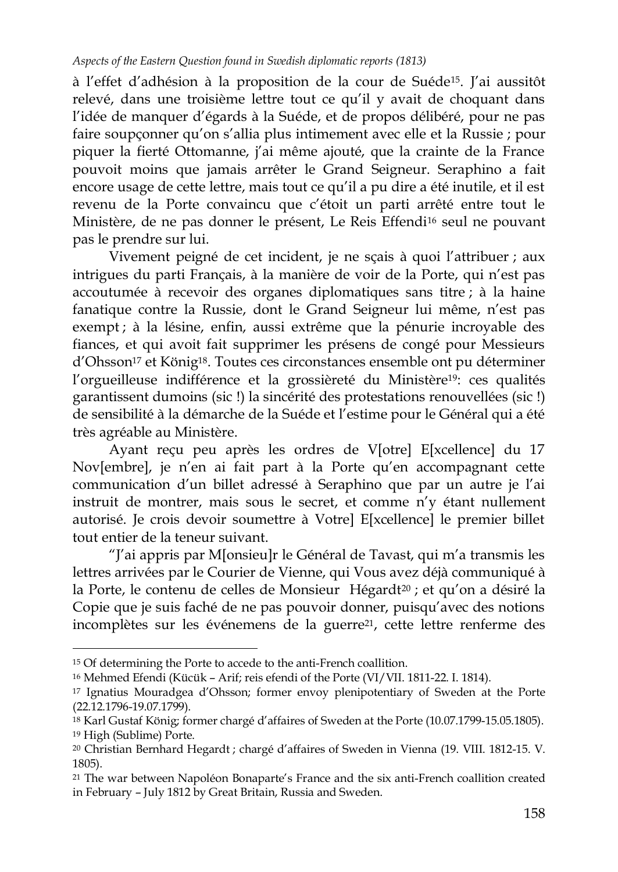à l"effet d"adhésion à la proposition de la cour de Suéde15. J"ai aussitôt relevé, dans une troisième lettre tout ce qu"il y avait de choquant dans l"idée de manquer d"égards à la Suéde, et de propos délibéré, pour ne pas faire soupçonner qu"on s"allia plus intimement avec elle et la Russie ; pour piquer la fierté Ottomanne, j'ai même ajouté, que la crainte de la France pouvoit moins que jamais arrêter le Grand Seigneur. Seraphino a fait encore usage de cette lettre, mais tout ce qu"il a pu dire a été inutile, et il est revenu de la Porte convaincu que c"étoit un parti arrêté entre tout le Ministère, de ne pas donner le présent, Le Reis Effendi<sup>16</sup> seul ne pouvant pas le prendre sur lui.

Vivement peigné de cet incident, je ne sçais à quoi l"attribuer ; aux intrigues du parti Français, à la manière de voir de la Porte, qui n'est pas accoutumée à recevoir des organes diplomatiques sans titre ; à la haine fanatique contre la Russie, dont le Grand Seigneur lui même, n"est pas exempt ; à la lésine, enfin, aussi extrême que la pénurie incroyable des fiances, et qui avoit fait supprimer les présens de congé pour Messieurs d"Ohsson<sup>17</sup> et König18. Toutes ces circonstances ensemble ont pu déterminer l"orgueilleuse indifférence et la grossièreté du Ministère19: ces qualités garantissent dumoins (sic !) la sincérité des protestations renouvellées (sic !) de sensibilité à la démarche de la Suéde et l"estime pour le Général qui a été très agréable au Ministère.

Ayant reçu peu après les ordres de V[otre] E[xcellence] du 17 Nov[embre], je n'en ai fait part à la Porte qu'en accompagnant cette communication d"un billet adressé à Seraphino que par un autre je l"ai instruit de montrer, mais sous le secret, et comme n'y étant nullement autorisé. Je crois devoir soumettre à Votre] E[xcellence] le premier billet tout entier de la teneur suivant.

"J"ai appris par M[onsieu]r le Général de Tavast, qui m"a transmis les lettres arrivées par le Courier de Vienne, qui Vous avez déjà communiqué à la Porte, le contenu de celles de Monsieur Hégardt<sup>20</sup> ; et qu'on a désiré la Copie que je suis faché de ne pas pouvoir donner, puisqu"avec des notions incomplètes sur les événemens de la guerre<sup>21</sup>, cette lettre renferme des

<sup>15</sup> Of determining the Porte to accede to the anti-French coallition.

<sup>16</sup> Mehmed Efendi (Kücük – Arif; reis efendi of the Porte (VI/VII. 1811-22. I. 1814).

<sup>17</sup> Ignatius Mouradgea d"Ohsson; former envoy plenipotentiary of Sweden at the Porte (22.12.1796-19.07.1799).

<sup>18</sup> Karl Gustaf König; former chargé d"affaires of Sweden at the Porte (10.07.1799-15.05.1805). <sup>19</sup> High (Sublime) Porte.

<sup>20</sup> Christian Bernhard Hegardt ; chargé d"affaires of Sweden in Vienna (19. VIII. 1812-15. V. 1805).

<sup>21</sup> The war between Napoléon Bonaparte"s France and the six anti-French coallition created in February – July 1812 by Great Britain, Russia and Sweden.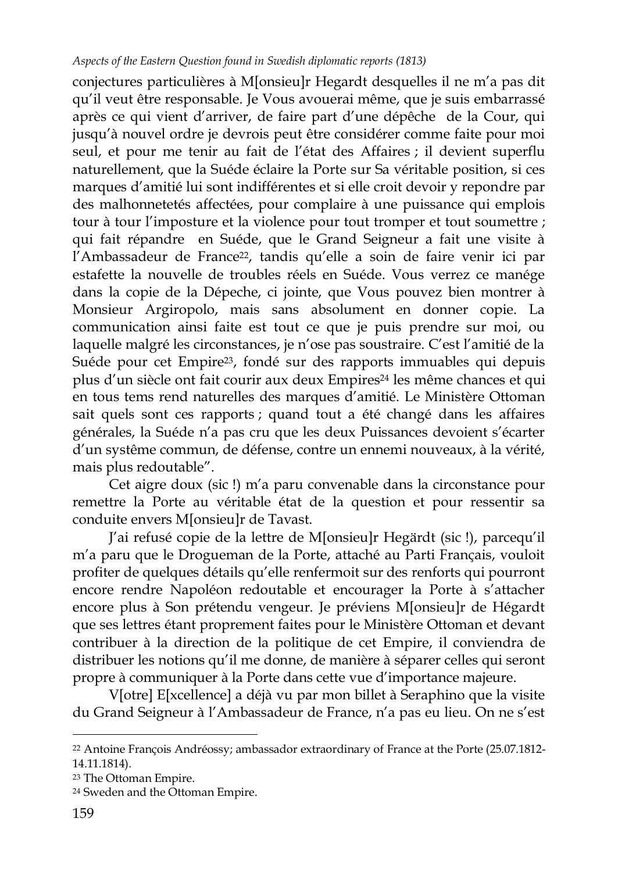conjectures particulières à M[onsieu]r Hegardt desquelles il ne m"a pas dit qu"il veut être responsable. Je Vous avouerai même, que je suis embarrassé après ce qui vient d"arriver, de faire part d"une dépêche de la Cour, qui jusqu"à nouvel ordre je devrois peut être considérer comme faite pour moi seul, et pour me tenir au fait de l"état des Affaires ; il devient superflu naturellement, que la Suéde éclaire la Porte sur Sa véritable position, si ces marques d"amitié lui sont indifférentes et si elle croit devoir y repondre par des malhonnetetés affectées, pour complaire à une puissance qui emplois tour à tour l'imposture et la violence pour tout tromper et tout soumettre ; qui fait répandre en Suéde, que le Grand Seigneur a fait une visite à l'Ambassadeur de France<sup>22</sup>, tandis qu'elle a soin de faire venir ici par estafette la nouvelle de troubles réels en Suéde. Vous verrez ce manége dans la copie de la Dépeche, ci jointe, que Vous pouvez bien montrer à Monsieur Argiropolo, mais sans absolument en donner copie. La communication ainsi faite est tout ce que je puis prendre sur moi, ou laquelle malgré les circonstances, je n"ose pas soustraire. C"est l"amitié de la Suéde pour cet Empire23, fondé sur des rapports immuables qui depuis plus d'un siècle ont fait courir aux deux Empires<sup>24</sup> les même chances et qui en tous tems rend naturelles des marques d"amitié. Le Ministère Ottoman sait quels sont ces rapports ; quand tout a été changé dans les affaires générales, la Suéde n"a pas cru que les deux Puissances devoient s"écarter d"un systême commun, de défense, contre un ennemi nouveaux, à la vérité, mais plus redoutable".

Cet aigre doux (sic !) m"a paru convenable dans la circonstance pour remettre la Porte au véritable état de la question et pour ressentir sa conduite envers M[onsieu]r de Tavast.

J"ai refusé copie de la lettre de M[onsieu]r Hegärdt (sic !), parcequ"il m"a paru que le Drogueman de la Porte, attaché au Parti Français, vouloit profiter de quelques détails qu"elle renfermoit sur des renforts qui pourront encore rendre Napoléon redoutable et encourager la Porte à s'attacher encore plus à Son prétendu vengeur. Je préviens M[onsieu]r de Hégardt que ses lettres étant proprement faites pour le Ministère Ottoman et devant contribuer à la direction de la politique de cet Empire, il conviendra de distribuer les notions qu"il me donne, de manière à séparer celles qui seront propre à communiquer à la Porte dans cette vue d"importance majeure.

V[otre] E[xcellence] a déjà vu par mon billet à Seraphino que la visite du Grand Seigneur à l'Ambassadeur de France, n'a pas eu lieu. On ne s'est

<sup>22</sup> Antoine François Andréossy; ambassador extraordinary of France at the Porte (25.07.1812- 14.11.1814).

<sup>23</sup> The Ottoman Empire.

<sup>24</sup> Sweden and the Ottoman Empire.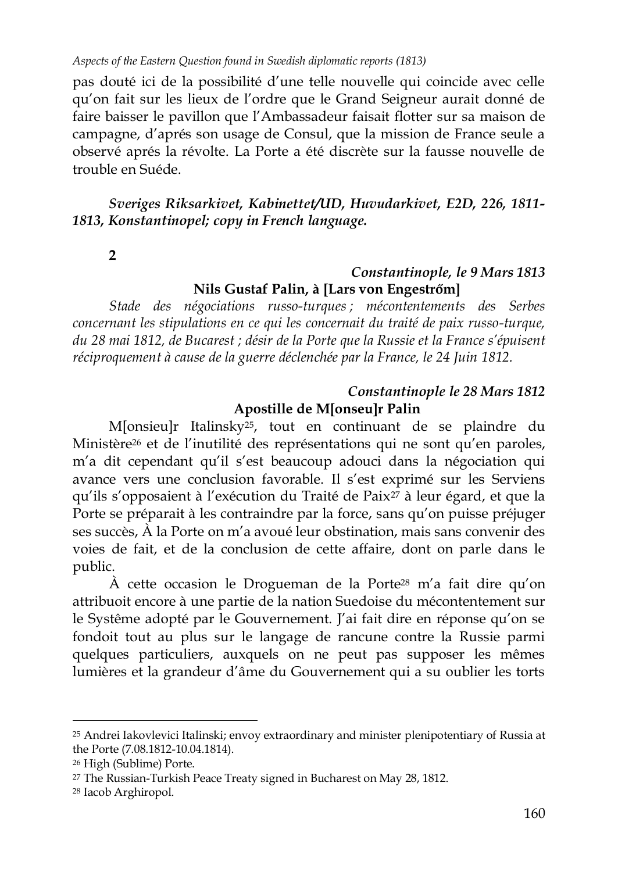pas douté ici de la possibilité d"une telle nouvelle qui coincide avec celle qu"on fait sur les lieux de l"ordre que le Grand Seigneur aurait donné de faire baisser le pavillon que l"Ambassadeur faisait flotter sur sa maison de campagne, d"aprés son usage de Consul, que la mission de France seule a observé aprés la révolte. La Porte a été discrète sur la fausse nouvelle de trouble en Suéde.

*Sveriges Riksarkivet, Kabinettet/UD, Huvudarkivet, E2D, 226, 1811- 1813, Konstantinopel; copy in French language.* 

**2**

## *Constantinople, le 9 Mars 1813* **Nils Gustaf Palin, à [Lars von Engestrőm]**

*Stade des négociations russo-turques ; mécontentements des Serbes concernant les stipulations en ce qui les concernait du traité de paix russo-turque, du 28 mai 1812, de Bucarest ; désir de la Porte que la Russie et la France s'épuisent réciproquement à cause de la guerre déclenchée par la France, le 24 Juin 1812.*

## *Constantinople le 28 Mars 1812* **Apostille de M[onseu]r Palin**

M[onsieu]r Italinsky25, tout en continuant de se plaindre du Ministère<sup>26</sup> et de l'inutilité des représentations qui ne sont qu'en paroles, m"a dit cependant qu"il s"est beaucoup adouci dans la négociation qui avance vers une conclusion favorable. Il s'est exprimé sur les Serviens qu"ils s"opposaient à l"exécution du Traité de Paix<sup>27</sup> à leur égard, et que la Porte se préparait à les contraindre par la force, sans qu"on puisse préjuger ses succès, À la Porte on m"a avoué leur obstination, mais sans convenir des voies de fait, et de la conclusion de cette affaire, dont on parle dans le public.

À cette occasion le Drogueman de la Porte<sup>28</sup> m"a fait dire qu"on attribuoit encore à une partie de la nation Suedoise du mécontentement sur le Systême adopté par le Gouvernement. J"ai fait dire en réponse qu"on se fondoit tout au plus sur le langage de rancune contre la Russie parmi quelques particuliers, auxquels on ne peut pas supposer les mêmes lumières et la grandeur d"âme du Gouvernement qui a su oublier les torts

<sup>25</sup> Andrei Iakovlevici Italinski; envoy extraordinary and minister plenipotentiary of Russia at the Porte (7.08.1812-10.04.1814).

<sup>26</sup> High (Sublime) Porte.

<sup>27</sup> The Russian-Turkish Peace Treaty signed in Bucharest on May 28, 1812.

<sup>28</sup> Iacob Arghiropol.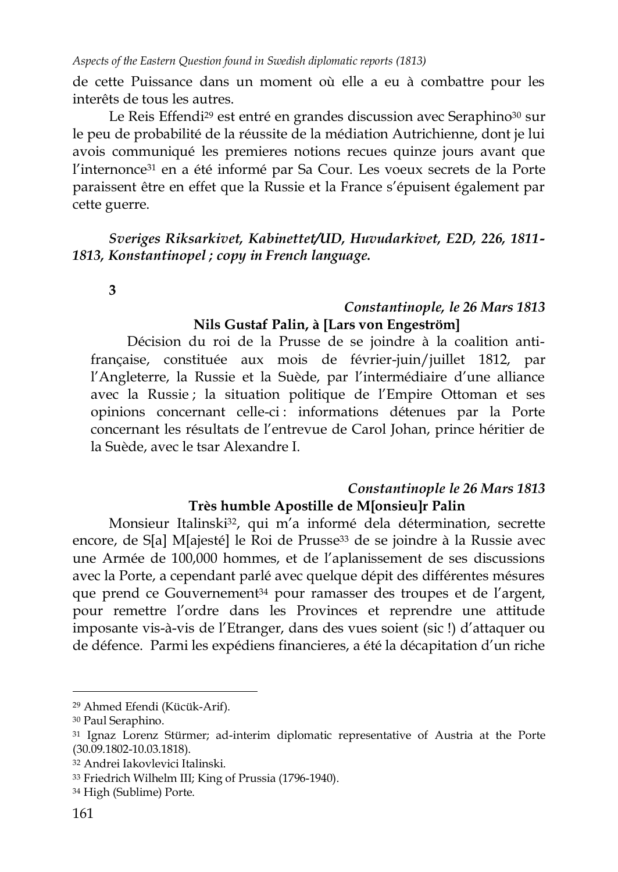de cette Puissance dans un moment où elle a eu à combattre pour les interêts de tous les autres.

Le Reis Effendi<sup>29</sup> est entré en grandes discussion avec Seraphino<sup>30</sup> sur le peu de probabilité de la réussite de la médiation Autrichienne, dont je lui avois communiqué les premieres notions recues quinze jours avant que l'internonce<sup>31</sup> en a été informé par Sa Cour. Les voeux secrets de la Porte paraissent être en effet que la Russie et la France s"épuisent également par cette guerre.

*Sveriges Riksarkivet, Kabinettet/UD, Huvudarkivet, E2D, 226, 1811- 1813, Konstantinopel ; copy in French language.*

**3**

## *Constantinople, le 26 Mars 1813* **Nils Gustaf Palin, à [Lars von Engeström]**

Décision du roi de la Prusse de se joindre à la coalition antifrançaise, constituée aux mois de février-juin/juillet 1812, par l"Angleterre, la Russie et la Suède, par l"intermédiaire d"une alliance avec la Russie ; la situation politique de l"Empire Ottoman et ses opinions concernant celle-ci : informations détenues par la Porte concernant les résultats de l"entrevue de Carol Johan, prince héritier de la Suède, avec le tsar Alexandre I.

## *Constantinople le 26 Mars 1813* **Très humble Apostille de M[onsieu]r Palin**

Monsieur Italinski<sup>32</sup>, qui m'a informé dela détermination, secrette encore, de S[a] M[ajesté] le Roi de Prusse<sup>33</sup> de se joindre à la Russie avec une Armée de 100,000 hommes, et de l"aplanissement de ses discussions avec la Porte, a cependant parlé avec quelque dépit des différentes mésures que prend ce Gouvernement<sup>34</sup> pour ramasser des troupes et de l'argent, pour remettre l"ordre dans les Provinces et reprendre une attitude imposante vis-à-vis de l"Etranger, dans des vues soient (sic !) d"attaquer ou de défence. Parmi les expédiens financieres, a été la décapitation d"un riche

<sup>29</sup> Ahmed Efendi (Kücük-Arif).

<sup>30</sup> Paul Seraphino.

<sup>31</sup> Ignaz Lorenz Stürmer; ad-interim diplomatic representative of Austria at the Porte (30.09.1802-10.03.1818).

<sup>32</sup> Andrei Iakovlevici Italinski.

<sup>33</sup> Friedrich Wilhelm III; King of Prussia (1796-1940).

<sup>34</sup> High (Sublime) Porte.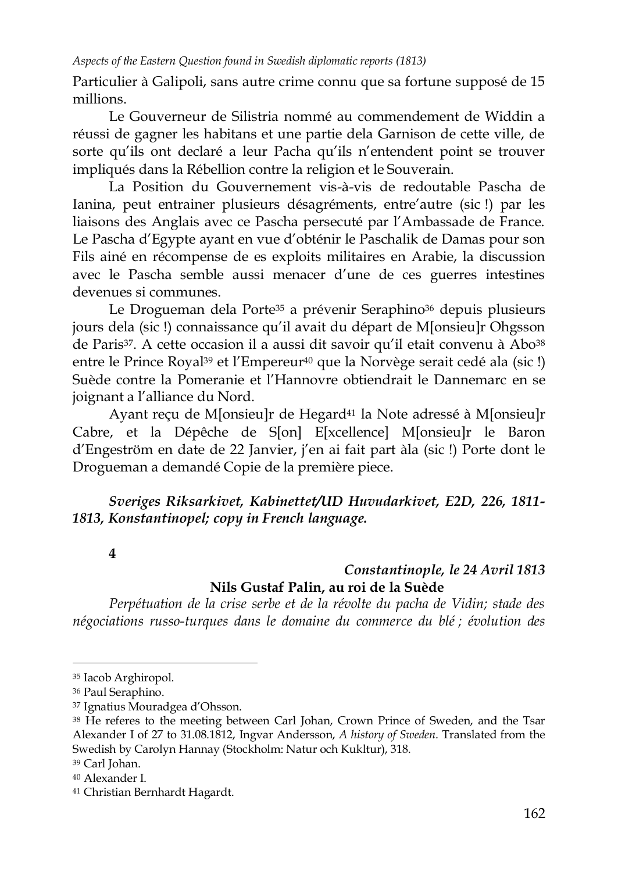Particulier à Galipoli, sans autre crime connu que sa fortune supposé de 15 millions.

Le Gouverneur de Silistria nommé au commendement de Widdin a réussi de gagner les habitans et une partie dela Garnison de cette ville, de sorte qu'ils ont declaré a leur Pacha qu'ils n'entendent point se trouver impliqués dans la Rébellion contre la religion et le Souverain.

La Position du Gouvernement vis-à-vis de redoutable Pascha de Ianina, peut entrainer plusieurs désagréments, entre'autre (sic!) par les liaisons des Anglais avec ce Pascha persecuté par l"Ambassade de France. Le Pascha d"Egypte ayant en vue d"obténir le Paschalik de Damas pour son Fils ainé en récompense de es exploits militaires en Arabie, la discussion avec le Pascha semble aussi menacer d"une de ces guerres intestines devenues si communes.

Le Drogueman dela Porte<sup>35</sup> a prévenir Seraphino<sup>36</sup> depuis plusieurs jours dela (sic !) connaissance qu"il avait du départ de M[onsieu]r Ohgsson de Paris37. A cette occasion il a aussi dit savoir qu"il etait convenu à Abo<sup>38</sup> entre le Prince Royal<sup>39</sup> et l'Empereur<sup>40</sup> que la Norvège serait cedé ala (sic !) Suède contre la Pomeranie et l"Hannovre obtiendrait le Dannemarc en se joignant a l"alliance du Nord.

Ayant reçu de M[onsieu]r de Hegard<sup>41</sup> la Note adressé à M[onsieu]r Cabre, et la Dépêche de S[on] E[xcellence] M[onsieu]r le Baron d'Engeström en date de 22 Janvier, j'en ai fait part àla (sic !) Porte dont le Drogueman a demandé Copie de la première piece.

*Sveriges Riksarkivet, Kabinettet/UD Huvudarkivet, E2D, 226, 1811- 1813, Konstantinopel; copy in French language.* 

**4** 

## *Constantinople, le 24 Avril 1813* **Nils Gustaf Palin, au roi de la Suède**

*Perpétuation de la crise serbe et de la révolte du pacha de Vidin; stade des négociations russo-turques dans le domaine du commerce du blé ; évolution des* 

<sup>35</sup> Iacob Arghiropol.

<sup>36</sup> Paul Seraphino.

<sup>37</sup> Ignatius Mouradgea d"Ohsson.

<sup>38</sup> He referes to the meeting between Carl Johan, Crown Prince of Sweden, and the Tsar Alexander I of 27 to 31.08.1812, Ingvar Andersson, *A history of Sweden*. Translated from the Swedish by Carolyn Hannay (Stockholm: Natur och Kukltur), 318.

<sup>39</sup> Carl Johan.

<sup>40</sup> Alexander I.

<sup>41</sup> Christian Bernhardt Hagardt.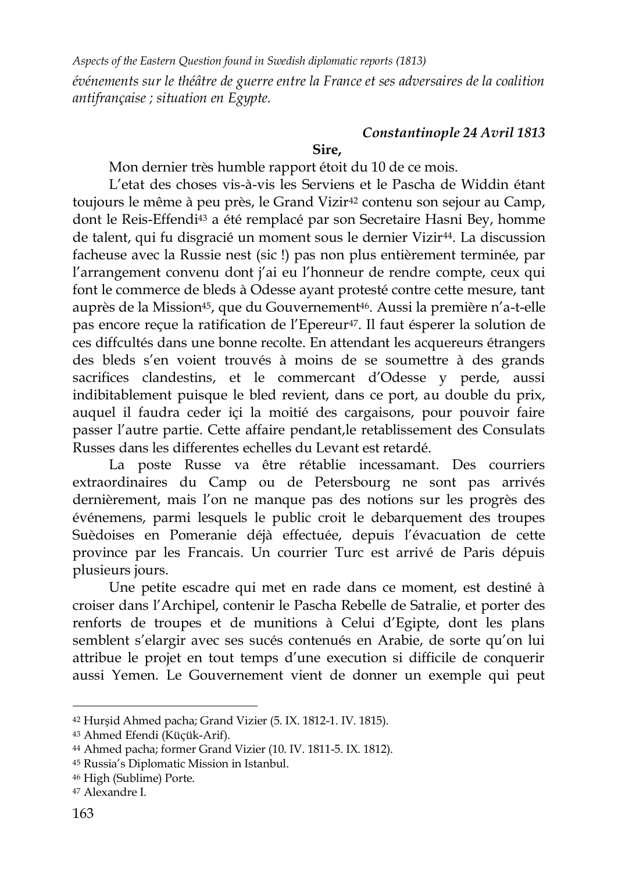*Aspects of the Eastern Question found in Swedish diplomatic reports (1813) événements sur le théâtre de guerre entre la France et ses adversaires de la coalition antifrançaise ; situation en Egypte.*

**Sire,**

# *Constantinople 24 Avril 1813*

Mon dernier très humble rapport étoit du 10 de ce mois.

L"etat des choses vis-à-vis les Serviens et le Pascha de Widdin étant toujours le même à peu près, le Grand Vizir<sup>42</sup> contenu son sejour au Camp, dont le Reis-Effendi<sup>43</sup> a été remplacé par son Secretaire Hasni Bey, homme de talent, qui fu disgracié un moment sous le dernier Vizir<sup>44</sup>. La discussion facheuse avec la Russie nest (sic !) pas non plus entièrement terminée, par l'arrangement convenu dont j'ai eu l'honneur de rendre compte, ceux qui font le commerce de bleds à Odesse ayant protesté contre cette mesure, tant auprès de la Mission<sup>45</sup>, que du Gouvernement<sup>46</sup>. Aussi la première n'a-t-elle pas encore reçue la ratification de l"Epereur47. Il faut ésperer la solution de ces diffcultés dans une bonne recolte. En attendant les acquereurs étrangers des bleds s'en voient trouvés à moins de se soumettre à des grands sacrifices clandestins, et le commercant d'Odesse y perde, aussi indibitablement puisque le bled revient, dans ce port, au double du prix, auquel il faudra ceder içi la moitié des cargaisons, pour pouvoir faire passer l"autre partie. Cette affaire pendant,le retablissement des Consulats Russes dans les differentes echelles du Levant est retardé.

La poste Russe va être rétablie incessamant. Des courriers extraordinaires du Camp ou de Petersbourg ne sont pas arrivés dernièrement, mais l'on ne manque pas des notions sur les progrès des événemens, parmi lesquels le public croit le debarquement des troupes Suèdoises en Pomeranie déjà effectuée, depuis l"évacuation de cette province par les Francais. Un courrier Turc est arrivé de Paris dépuis plusieurs jours.

Une petite escadre qui met en rade dans ce moment, est destiné à croiser dans l"Archipel, contenir le Pascha Rebelle de Satralie, et porter des renforts de troupes et de munitions à Celui d"Egipte, dont les plans semblent s'elargir avec ses sucés contenués en Arabie, de sorte qu'on lui attribue le projet en tout temps d"une execution si difficile de conquerir aussi Yemen. Le Gouvernement vient de donner un exemple qui peut

<sup>42</sup> Hurşid Ahmed pacha; Grand Vizier (5. IX. 1812-1. IV. 1815).

<sup>43</sup> Ahmed Efendi (Küçük-Arif).

<sup>44</sup> Ahmed pacha; former Grand Vizier (10. IV. 1811-5. IX. 1812).

<sup>45</sup> Russia"s Diplomatic Mission in Istanbul.

<sup>46</sup> High (Sublime) Porte.

<sup>47</sup> Alexandre I.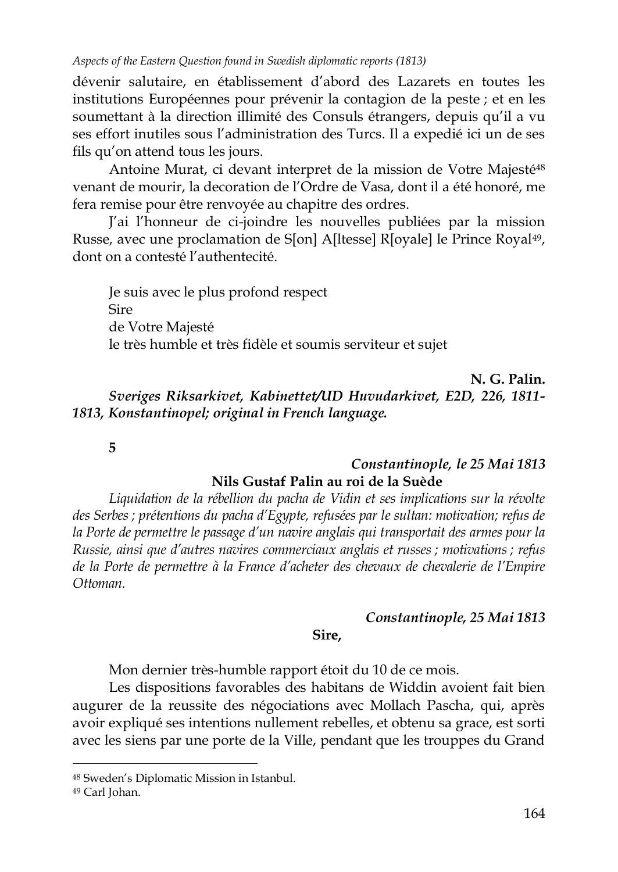dévenir salutaire, en établissement d"abord des Lazarets en toutes les institutions Européennes pour prévenir la contagion de la peste ; et en les soumettant à la direction illimité des Consuls étrangers, depuis qu"il a vu ses effort inutiles sous l"administration des Turcs. Il a expedié ici un de ses fils qu"on attend tous les jours.

Antoine Murat, ci devant interpret de la mission de Votre Majesté<sup>48</sup> venant de mourir, la decoration de l"Ordre de Vasa, dont il a été honoré, me fera remise pour être renvoyée au chapitre des ordres.

J"ai l"honneur de ci-joindre les nouvelles publiées par la mission Russe, avec une proclamation de S[on] A[ltesse] R[oyale] le Prince Royal<sup>49</sup>, dont on a contesté l"authentecité.

Je suis avec le plus profond respect Sire de Votre Majesté le très humble et très fidèle et soumis serviteur et sujet

**N. G. Palin.** *Sveriges Riksarkivet, Kabinettet/UD Huvudarkivet, E2D, 226, 1811- 1813, Konstantinopel; original in French language.*

**5**

## *Constantinople, le 25 Mai 1813* **Nils Gustaf Palin au roi de la Suède**

*Liquidation de la rébellion du pacha de Vidin et ses implications sur la révolte des Serbes ; prétentions du pacha d'Egypte, refusées par le sultan: motivation; refus de la Porte de permettre le passage d'un navire anglais qui transportait des armes pour la Russie, ainsi que d'autres navires commerciaux anglais et russes ; motivations ; refus de la Porte de permettre à la France d'acheter des chevaux de chevalerie de l'Empire Ottoman.*

## *Constantinople, 25 Mai 1813*

#### **Sire,**

Mon dernier très-humble rapport étoit du 10 de ce mois.

Les dispositions favorables des habitans de Widdin avoient fait bien augurer de la reussite des négociations avec Mollach Pascha, qui, après avoir expliqué ses intentions nullement rebelles, et obtenu sa grace, est sorti avec les siens par une porte de la Ville, pendant que les trouppes du Grand

<sup>48</sup> Sweden"s Diplomatic Mission in Istanbul.

<sup>49</sup> Carl Johan.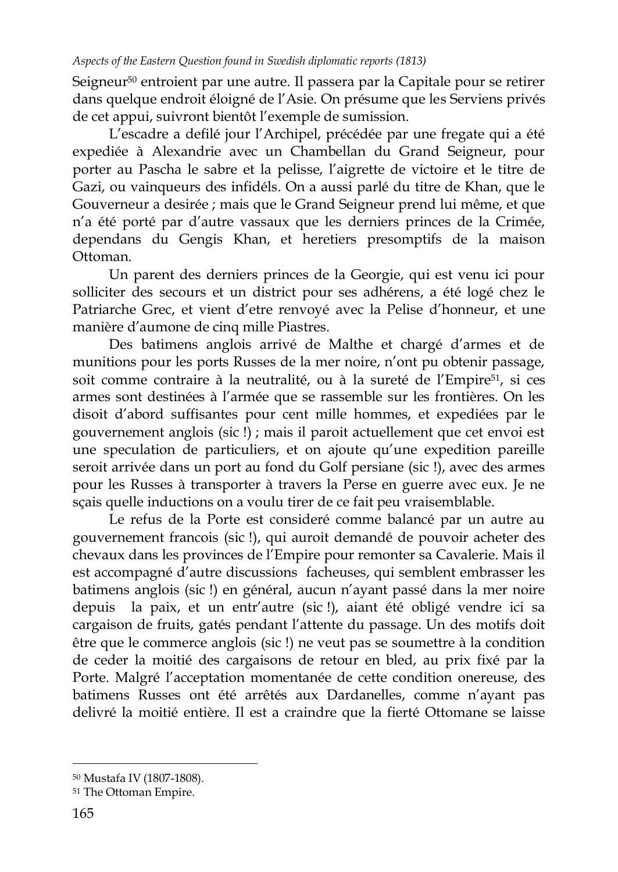Seigneur<sup>50</sup> entroient par une autre. Il passera par la Capitale pour se retirer dans quelque endroit éloigné de l"Asie. On présume que les Serviens privés de cet appui, suivront bientôt l"exemple de sumission.

L"escadre a defilé jour l"Archipel, précédée par une fregate qui a été expediée à Alexandrie avec un Chambellan du Grand Seigneur, pour porter au Pascha le sabre et la pelisse, l"aigrette de victoire et le titre de Gazi, ou vainqueurs des infidéls. On a aussi parlé du titre de Khan, que le Gouverneur a desirée ; mais que le Grand Seigneur prend lui même, et que n"a été porté par d"autre vassaux que les derniers princes de la Crimée, dependans du Gengis Khan, et heretiers presomptifs de la maison Ottoman.

Un parent des derniers princes de la Georgie, qui est venu ici pour solliciter des secours et un district pour ses adhérens, a été logé chez le Patriarche Grec, et vient d"etre renvoyé avec la Pelise d"honneur, et une manière d"aumone de cinq mille Piastres.

Des batimens anglois arrivé de Malthe et chargé d"armes et de munitions pour les ports Russes de la mer noire, n"ont pu obtenir passage, soit comme contraire à la neutralité, ou à la sureté de l'Empire<sup>51</sup>, si ces armes sont destinées à l"armée que se rassemble sur les frontières. On les disoit d"abord suffisantes pour cent mille hommes, et expediées par le gouvernement anglois (sic !) ; mais il paroit actuellement que cet envoi est une speculation de particuliers, et on ajoute qu"une expedition pareille seroit arrivée dans un port au fond du Golf persiane (sic !), avec des armes pour les Russes à transporter à travers la Perse en guerre avec eux. Je ne sçais quelle inductions on a voulu tirer de ce fait peu vraisemblable.

Le refus de la Porte est consideré comme balancé par un autre au gouvernement francois (sic !), qui auroit demandé de pouvoir acheter des chevaux dans les provinces de l"Empire pour remonter sa Cavalerie. Mais il est accompagné d"autre discussions facheuses, qui semblent embrasser les batimens anglois (sic !) en général, aucun n"ayant passé dans la mer noire depuis la paix, et un entr"autre (sic !), aiant été obligé vendre ici sa cargaison de fruits, gatés pendant l"attente du passage. Un des motifs doit être que le commerce anglois (sic !) ne veut pas se soumettre à la condition de ceder la moitié des cargaisons de retour en bled, au prix fixé par la Porte. Malgré l"acceptation momentanée de cette condition onereuse, des batimens Russes ont été arrêtés aux Dardanelles, comme n"ayant pas delivré la moitié entière. Il est a craindre que la fierté Ottomane se laisse

<sup>50</sup> Mustafa IV (1807-1808).

<sup>51</sup> The Ottoman Empire.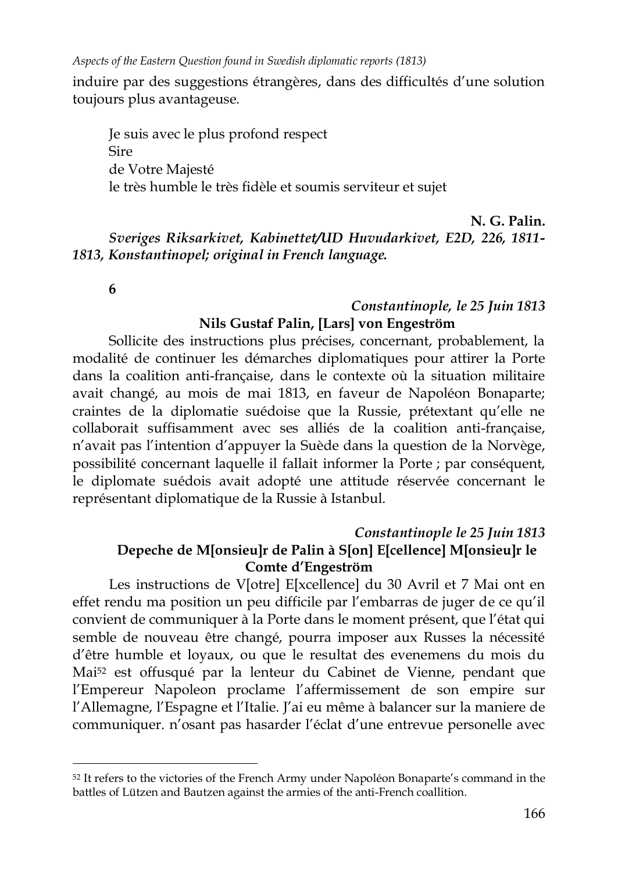induire par des suggestions étrangères, dans des difficultés d"une solution toujours plus avantageuse.

Je suis avec le plus profond respect Sire de Votre Majesté le très humble le très fidèle et soumis serviteur et sujet

**N. G. Palin.** *Sveriges Riksarkivet, Kabinettet/UD Huvudarkivet, E2D, 226, 1811- 1813, Konstantinopel; original in French language.*

**6**

## *Constantinople, le 25 Juin 1813* **Nils Gustaf Palin, [Lars] von Engeström**

Sollicite des instructions plus précises, concernant, probablement, la modalité de continuer les démarches diplomatiques pour attirer la Porte dans la coalition anti-française, dans le contexte où la situation militaire avait changé, au mois de mai 1813, en faveur de Napoléon Bonaparte; craintes de la diplomatie suédoise que la Russie, prétextant qu"elle ne collaborait suffisamment avec ses alliés de la coalition anti-française, n"avait pas l"intention d"appuyer la Suède dans la question de la Norvège, possibilité concernant laquelle il fallait informer la Porte ; par conséquent, le diplomate suédois avait adopté une attitude réservée concernant le représentant diplomatique de la Russie à Istanbul.

## *Constantinople le 25 Juin 1813* **Depeche de M[onsieu]r de Palin à S[on] E[cellence] M[onsieu]r le Comte d'Engeström**

Les instructions de V[otre] E[xcellence] du 30 Avril et 7 Mai ont en effet rendu ma position un peu difficile par l"embarras de juger de ce qu"il convient de communiquer à la Porte dans le moment présent, que l"état qui semble de nouveau être changé, pourra imposer aux Russes la nécessité d"être humble et loyaux, ou que le resultat des evenemens du mois du Mai<sup>52</sup> est offusqué par la lenteur du Cabinet de Vienne, pendant que l"Empereur Napoleon proclame l"affermissement de son empire sur l"Allemagne, l"Espagne et l"Italie. J"ai eu même à balancer sur la maniere de communiquer. n"osant pas hasarder l"éclat d"une entrevue personelle avec

<sup>52</sup> It refers to the victories of the French Army under Napoléon Bonaparte's command in the battles of Lützen and Bautzen against the armies of the anti-French coallition.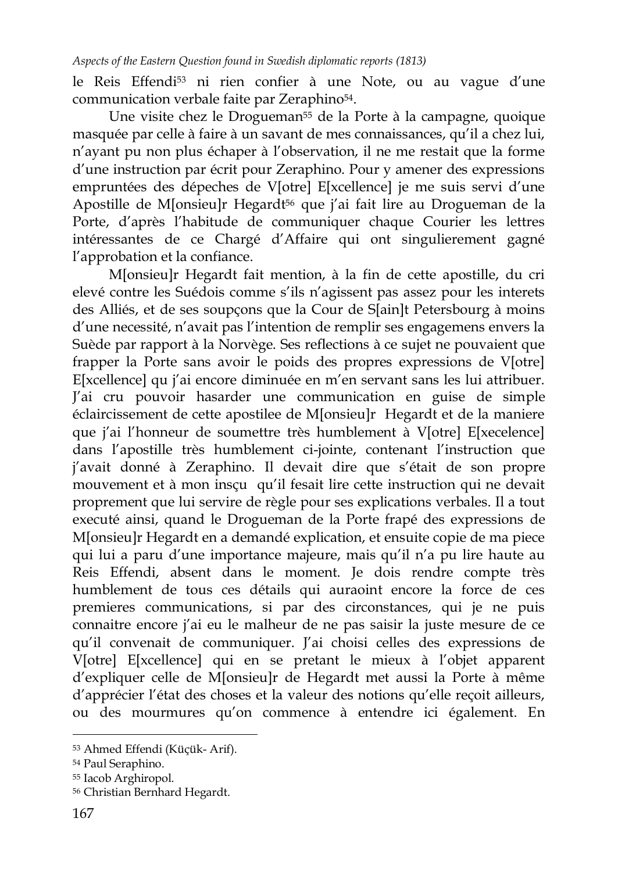le Reis Effendi<sup>53</sup> ni rien confier à une Note, ou au vague d'une communication verbale faite par Zeraphino54.

Une visite chez le Drogueman<sup>55</sup> de la Porte à la campagne, quoique masquée par celle à faire à un savant de mes connaissances, qu"il a chez lui, n"ayant pu non plus échaper à l"observation, il ne me restait que la forme d"une instruction par écrit pour Zeraphino. Pour y amener des expressions empruntées des dépeches de V[otre] E[xcellence] je me suis servi d'une Apostille de M[onsieu]r Hegardt<sup>56</sup> que j'ai fait lire au Drogueman de la Porte, d"après l"habitude de communiquer chaque Courier les lettres intéressantes de ce Chargé d"Affaire qui ont singulierement gagné l"approbation et la confiance.

M[onsieu]r Hegardt fait mention, à la fin de cette apostille, du cri elevé contre les Suédois comme s"ils n"agissent pas assez pour les interets des Alliés, et de ses soupçons que la Cour de S[ain]t Petersbourg à moins d"une necessité, n"avait pas l"intention de remplir ses engagemens envers la Suède par rapport à la Norvège. Ses reflections à ce sujet ne pouvaient que frapper la Porte sans avoir le poids des propres expressions de V[otre] E[xcellence] qu j"ai encore diminuée en m"en servant sans les lui attribuer. J"ai cru pouvoir hasarder une communication en guise de simple éclaircissement de cette apostilee de M[onsieu]r Hegardt et de la maniere que j'ai l'honneur de soumettre très humblement à V[otre] E[xecelence] dans l"apostille très humblement ci-jointe, contenant l"instruction que j'avait donné à Zeraphino. Il devait dire que s'était de son propre mouvement et à mon insçu qu"il fesait lire cette instruction qui ne devait proprement que lui servire de règle pour ses explications verbales. Il a tout executé ainsi, quand le Drogueman de la Porte frapé des expressions de M[onsieu]r Hegardt en a demandé explication, et ensuite copie de ma piece qui lui a paru d"une importance majeure, mais qu"il n"a pu lire haute au Reis Effendi, absent dans le moment. Je dois rendre compte très humblement de tous ces détails qui auraoint encore la force de ces premieres communications, si par des circonstances, qui je ne puis connaitre encore j'ai eu le malheur de ne pas saisir la juste mesure de ce qu"il convenait de communiquer. J"ai choisi celles des expressions de V[otre] E[xcellence] qui en se pretant le mieux à l"objet apparent d"expliquer celle de M[onsieu]r de Hegardt met aussi la Porte à même d"apprécier l"état des choses et la valeur des notions qu"elle reçoit ailleurs, ou des mourmures qu"on commence à entendre ici également. En

<sup>53</sup> Ahmed Effendi (Küçük- Arif).

<sup>54</sup> Paul Seraphino.

<sup>55</sup> Iacob Arghiropol.

<sup>56</sup> Christian Bernhard Hegardt.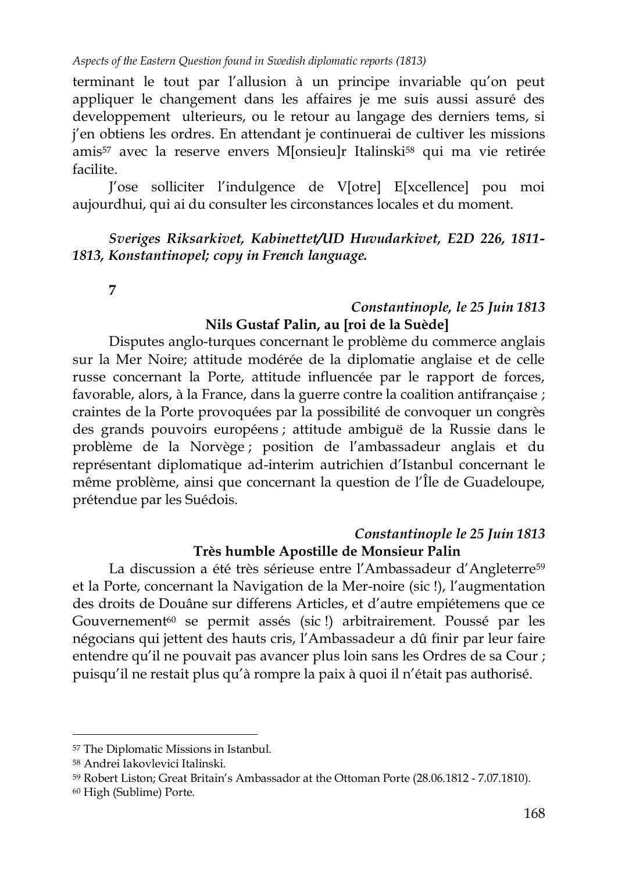terminant le tout par l"allusion à un principe invariable qu"on peut appliquer le changement dans les affaires je me suis aussi assuré des developpement ulterieurs, ou le retour au langage des derniers tems, si j'en obtiens les ordres. En attendant je continuerai de cultiver les missions amis<sup>57</sup> avec la reserve envers M[onsieu]r Italinski<sup>58</sup> qui ma vie retirée facilite.

J"ose solliciter l"indulgence de V[otre] E[xcellence] pou moi aujourdhui, qui ai du consulter les circonstances locales et du moment.

*Sveriges Riksarkivet, Kabinettet/UD Huvudarkivet, E2D 226, 1811- 1813, Konstantinopel; copy in French language.*

**7**

## *Constantinople, le 25 Juin 1813* **Nils Gustaf Palin, au [roi de la Suède]**

Disputes anglo-turques concernant le problème du commerce anglais sur la Mer Noire; attitude modérée de la diplomatie anglaise et de celle russe concernant la Porte, attitude influencée par le rapport de forces, favorable, alors, à la France, dans la guerre contre la coalition antifrançaise ; craintes de la Porte provoquées par la possibilité de convoquer un congrès des grands pouvoirs européens ; attitude ambiguë de la Russie dans le problème de la Norvège ; position de l"ambassadeur anglais et du représentant diplomatique ad-interim autrichien d"Istanbul concernant le même problème, ainsi que concernant la question de l"Île de Guadeloupe, prétendue par les Suédois.

## *Constantinople le 25 Juin 1813* **Très humble Apostille de Monsieur Palin**

La discussion a été très sérieuse entre l'Ambassadeur d'Angleterre<sup>59</sup> et la Porte, concernant la Navigation de la Mer-noire (sic !), l"augmentation des droits de Douâne sur differens Articles, et d"autre empiétemens que ce Gouvernement<sup>60</sup> se permit assés (sic !) arbitrairement. Poussé par les négocians qui jettent des hauts cris, l"Ambassadeur a dû finir par leur faire entendre qu"il ne pouvait pas avancer plus loin sans les Ordres de sa Cour ; puisqu"il ne restait plus qu"à rompre la paix à quoi il n"était pas authorisé.

<sup>57</sup> The Diplomatic Missions in Istanbul.

<sup>58</sup> Andrei Iakovlevici Italinski.

<sup>59</sup> Robert Liston; Great Britain"s Ambassador at the Ottoman Porte (28.06.1812 - 7.07.1810).

<sup>60</sup> High (Sublime) Porte.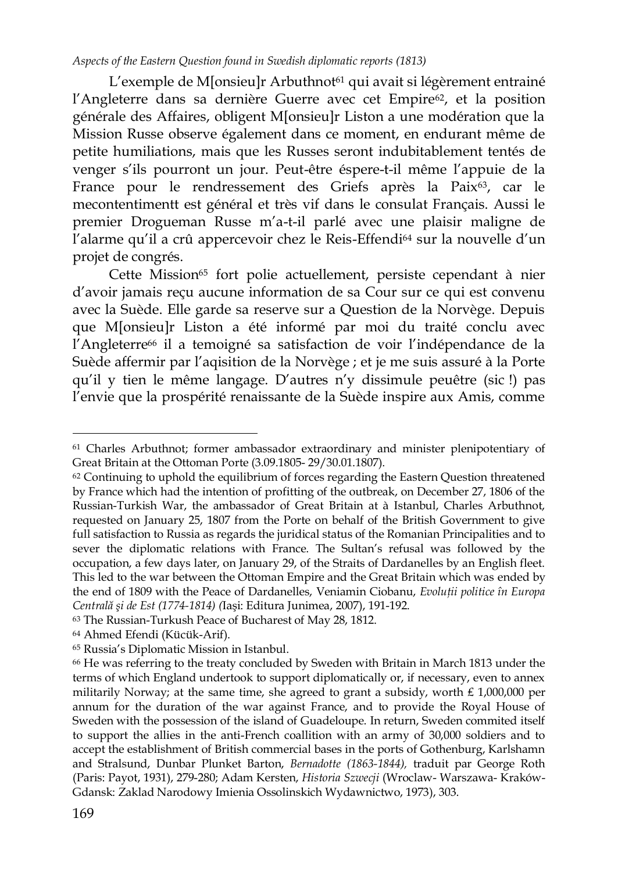L'exemple de M[onsieu]r Arbuthnot<sup>61</sup> qui avait si légèrement entrainé l'Angleterre dans sa dernière Guerre avec cet Empire<sup>62</sup>, et la position générale des Affaires, obligent M[onsieu]r Liston a une modération que la Mission Russe observe également dans ce moment, en endurant même de petite humiliations, mais que les Russes seront indubitablement tentés de venger s"ils pourront un jour. Peut-être éspere-t-il même l"appuie de la France pour le rendressement des Griefs après la Paix<sup>63</sup>, car le mecontentimentt est général et très vif dans le consulat Français. Aussi le premier Drogueman Russe m"a-t-il parlé avec une plaisir maligne de l'alarme qu'il a crû appercevoir chez le Reis-Effendi<sup>64</sup> sur la nouvelle d'un projet de congrés.

Cette Mission<sup>65</sup> fort polie actuellement, persiste cependant à nier d"avoir jamais reçu aucune information de sa Cour sur ce qui est convenu avec la Suède. Elle garde sa reserve sur a Question de la Norvège. Depuis que M[onsieu]r Liston a été informé par moi du traité conclu avec l"Angleterre<sup>66</sup> il a temoigné sa satisfaction de voir l"indépendance de la Suède affermir par l"aqisition de la Norvège ; et je me suis assuré à la Porte qu"il y tien le même langage. D"autres n"y dissimule peuêtre (sic !) pas l"envie que la prospérité renaissante de la Suède inspire aux Amis, comme

<sup>61</sup> Charles Arbuthnot; former ambassador extraordinary and minister plenipotentiary of Great Britain at the Ottoman Porte (3.09.1805- 29/30.01.1807).

<sup>62</sup> Continuing to uphold the equilibrium of forces regarding the Eastern Question threatened by France which had the intention of profitting of the outbreak, on December 27, 1806 of the Russian-Turkish War, the ambassador of Great Britain at à Istanbul, Charles Arbuthnot, requested on January 25, 1807 from the Porte on behalf of the British Government to give full satisfaction to Russia as regards the juridical status of the Romanian Principalities and to sever the diplomatic relations with France. The Sultan"s refusal was followed by the occupation, a few days later, on January 29, of the Straits of Dardanelles by an English fleet. This led to the war between the Ottoman Empire and the Great Britain which was ended by the end of 1809 with the Peace of Dardanelles, Veniamin Ciobanu, *Evolutii politice în Europa Centrală şi de Est (1774-1814) (*Iaşi: Editura Junimea, 2007), 191-192.

<sup>63</sup> The Russian-Turkush Peace of Bucharest of May 28, 1812.

<sup>64</sup> Ahmed Efendi (Kücük-Arif).

<sup>65</sup> Russia"s Diplomatic Mission in Istanbul.

<sup>66</sup> He was referring to the treaty concluded by Sweden with Britain in March 1813 under the terms of which England undertook to support diplomatically or, if necessary, even to annex militarily Norway; at the same time, she agreed to grant a subsidy, worth £ 1,000,000 per annum for the duration of the war against France, and to provide the Royal House of Sweden with the possession of the island of Guadeloupe. In return, Sweden commited itself to support the allies in the anti-French coallition with an army of 30,000 soldiers and to accept the establishment of British commercial bases in the ports of Gothenburg, Karlshamn and Stralsund, Dunbar Plunket Barton, *Bernadotte (1863-1844),* traduit par George Roth (Paris: Payot, 1931), 279-280; Adam Kersten, *Historia Szwecji* (Wroclaw- Warszawa- Kraków-Gdansk: Zaklad Narodowy Imienia Ossolinskich Wydawnictwo, 1973), 303.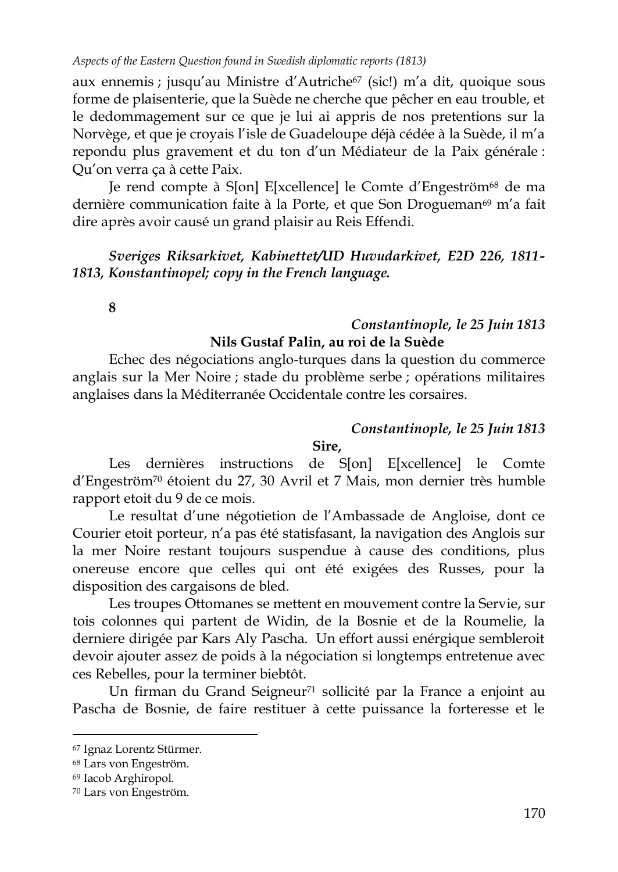aux ennemis ; jusqu'au Ministre d'Autriche<sup>67</sup> (sic!) m'a dit, quoique sous forme de plaisenterie, que la Suède ne cherche que pêcher en eau trouble, et le dedommagement sur ce que je lui ai appris de nos pretentions sur la Norvège, et que je croyais l"isle de Guadeloupe déjà cédée à la Suède, il m"a repondu plus gravement et du ton d"un Médiateur de la Paix générale : Qu"on verra ça à cette Paix.

Je rend compte à S[on] E[xcellence] le Comte d"Engeström<sup>68</sup> de ma dernière communication faite à la Porte, et que Son Drogueman<sup>69</sup> m'a fait dire après avoir causé un grand plaisir au Reis Effendi.

## *Sveriges Riksarkivet, Kabinettet/UD Huvudarkivet, E2D 226, 1811- 1813, Konstantinopel; copy in the French language.*

**8**

## *Constantinople, le 25 Juin 1813* **Nils Gustaf Palin, au roi de la Suède**

Echec des négociations anglo-turques dans la question du commerce anglais sur la Mer Noire ; stade du problème serbe ; opérations militaires anglaises dans la Méditerranée Occidentale contre les corsaires.

## *Constantinople, le 25 Juin 1813*

#### **Sire,**

Les dernières instructions de S[on] E[xcellence] le Comte d"Engeström<sup>70</sup> étoient du 27, 30 Avril et 7 Mais, mon dernier très humble rapport etoit du 9 de ce mois.

Le resultat d'une négotietion de l'Ambassade de Angloise, dont ce Courier etoit porteur, n"a pas été statisfasant, la navigation des Anglois sur la mer Noire restant toujours suspendue à cause des conditions, plus onereuse encore que celles qui ont été exigées des Russes, pour la disposition des cargaisons de bled.

Les troupes Ottomanes se mettent en mouvement contre la Servie, sur tois colonnes qui partent de Widin, de la Bosnie et de la Roumelie, la derniere dirigée par Kars Aly Pascha. Un effort aussi enérgique sembleroit devoir ajouter assez de poids à la négociation si longtemps entretenue avec ces Rebelles, pour la terminer biebtôt.

Un firman du Grand Seigneur<sup>71</sup> sollicité par la France a enjoint au Pascha de Bosnie, de faire restituer à cette puissance la forteresse et le

<sup>67</sup> Ignaz Lorentz Stürmer.

<sup>68</sup> Lars von Engeström.

<sup>69</sup> Iacob Arghiropol.

<sup>70</sup> Lars von Engeström.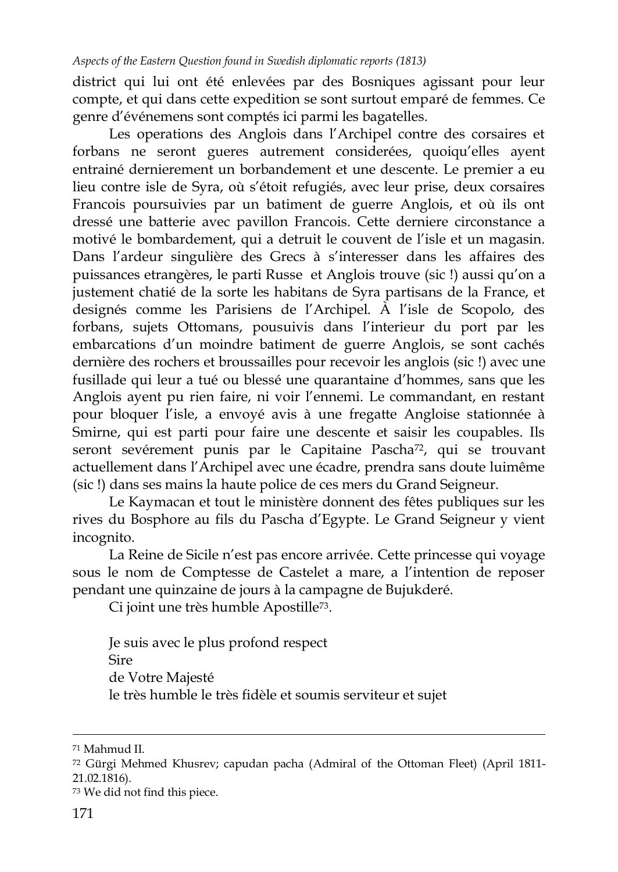district qui lui ont été enlevées par des Bosniques agissant pour leur compte, et qui dans cette expedition se sont surtout emparé de femmes. Ce genre d"événemens sont comptés ici parmi les bagatelles.

Les operations des Anglois dans l"Archipel contre des corsaires et forbans ne seront gueres autrement considerées, quoiqu"elles ayent entrainé dernierement un borbandement et une descente. Le premier a eu lieu contre isle de Syra, où s"étoit refugiés, avec leur prise, deux corsaires Francois poursuivies par un batiment de guerre Anglois, et où ils ont dressé une batterie avec pavillon Francois. Cette derniere circonstance a motivé le bombardement, qui a detruit le couvent de l"isle et un magasin. Dans l'ardeur singulière des Grecs à s'interesser dans les affaires des puissances etrangères, le parti Russe et Anglois trouve (sic !) aussi qu"on a justement chatié de la sorte les habitans de Syra partisans de la France, et designés comme les Parisiens de l"Archipel. À l"isle de Scopolo, des forbans, sujets Ottomans, pousuivis dans l"interieur du port par les embarcations d"un moindre batiment de guerre Anglois, se sont cachés dernière des rochers et broussailles pour recevoir les anglois (sic !) avec une fusillade qui leur a tué ou blessé une quarantaine d"hommes, sans que les Anglois ayent pu rien faire, ni voir l"ennemi. Le commandant, en restant pour bloquer l"isle, a envoyé avis à une fregatte Angloise stationnée à Smirne, qui est parti pour faire une descente et saisir les coupables. Ils seront sevérement punis par le Capitaine Pascha<sup>72</sup>, qui se trouvant actuellement dans l"Archipel avec une écadre, prendra sans doute luimême (sic !) dans ses mains la haute police de ces mers du Grand Seigneur.

Le Kaymacan et tout le ministère donnent des fêtes publiques sur les rives du Bosphore au fils du Pascha d"Egypte. Le Grand Seigneur y vient incognito.

La Reine de Sicile n'est pas encore arrivée. Cette princesse qui voyage sous le nom de Comptesse de Castelet a mare, a l"intention de reposer pendant une quinzaine de jours à la campagne de Bujukderé.

Ci joint une très humble Apostille73.

Je suis avec le plus profond respect Sire de Votre Majesté le très humble le très fidèle et soumis serviteur et sujet

 $\overline{a}$ <sup>71</sup> Mahmud II.

<sup>72</sup> Gürgi Mehmed Khusrev; capudan pacha (Admiral of the Ottoman Fleet) (April 1811- 21.02.1816).

<sup>73</sup> We did not find this piece.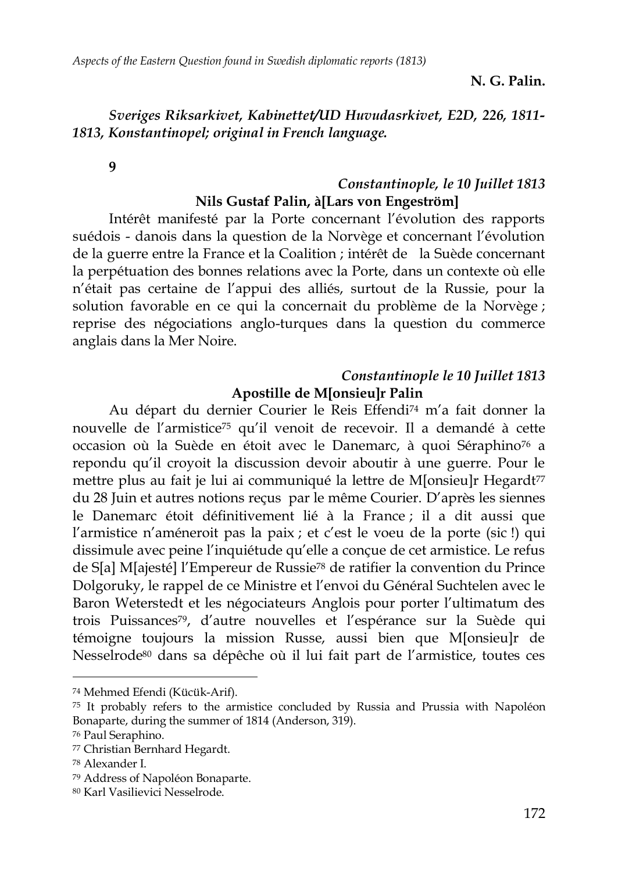**N. G. Palin.**

## *Sveriges Riksarkivet, Kabinettet/UD Huvudasrkivet, E2D, 226, 1811- 1813, Konstantinopel; original in French language.*

**9**

## *Constantinople, le 10 Juillet 1813* **Nils Gustaf Palin, à[Lars von Engeström]**

Intérêt manifesté par la Porte concernant l"évolution des rapports suédois - danois dans la question de la Norvège et concernant l"évolution de la guerre entre la France et la Coalition ; intérêt de la Suède concernant la perpétuation des bonnes relations avec la Porte, dans un contexte où elle n"était pas certaine de l"appui des alliés, surtout de la Russie, pour la solution favorable en ce qui la concernait du problème de la Norvège ; reprise des négociations anglo-turques dans la question du commerce anglais dans la Mer Noire.

## *Constantinople le 10 Juillet 1813* **Apostille de M[onsieu]r Palin**

Au départ du dernier Courier le Reis Effendi<sup>74</sup> m"a fait donner la nouvelle de l"armistice<sup>75</sup> qu"il venoit de recevoir. Il a demandé à cette occasion où la Suède en étoit avec le Danemarc, à quoi Séraphino<sup>76</sup> a repondu qu"il croyoit la discussion devoir aboutir à une guerre. Pour le mettre plus au fait je lui ai communiqué la lettre de M[onsieu]r Hegardt<sup>77</sup> du 28 Juin et autres notions reçus par le même Courier. D"après les siennes le Danemarc étoit définitivement lié à la France ; il a dit aussi que l'armistice n'améneroit pas la paix ; et c'est le voeu de la porte (sic !) qui dissimule avec peine l"inquiétude qu"elle a conçue de cet armistice. Le refus de S[a] M[ajesté] l"Empereur de Russie<sup>78</sup> de ratifier la convention du Prince Dolgoruky, le rappel de ce Ministre et l"envoi du Général Suchtelen avec le Baron Weterstedt et les négociateurs Anglois pour porter l"ultimatum des trois Puissances79, d"autre nouvelles et l"espérance sur la Suède qui témoigne toujours la mission Russe, aussi bien que M[onsieu]r de Nesselrode<sup>80</sup> dans sa dépêche où il lui fait part de l"armistice, toutes ces

<sup>74</sup> Mehmed Efendi (Kücük-Arif).

<sup>75</sup> It probably refers to the armistice concluded by Russia and Prussia with Napoléon Bonaparte, during the summer of 1814 (Anderson, 319).

<sup>76</sup> Paul Seraphino.

<sup>77</sup> Christian Bernhard Hegardt.

<sup>78</sup> Alexander I.

<sup>79</sup> Address of Napoléon Bonaparte.

<sup>80</sup> Karl Vasilievici Nesselrode.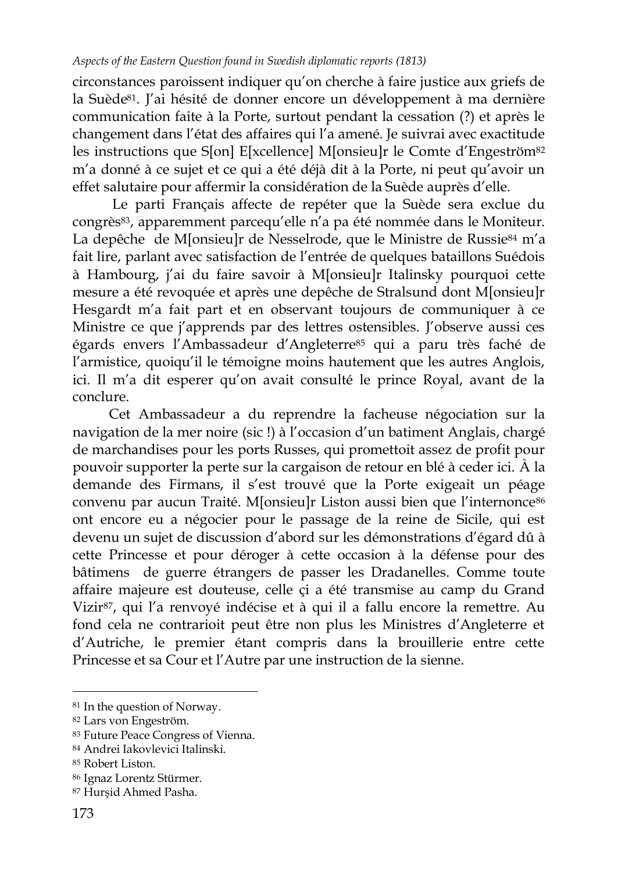circonstances paroissent indiquer qu"on cherche à faire justice aux griefs de la Suède<sup>81</sup>. J'ai hésité de donner encore un développement à ma dernière communication faite à la Porte, surtout pendant la cessation (?) et après le changement dans l"état des affaires qui l"a amené. Je suivrai avec exactitude les instructions que S[on] E[xcellence] M[onsieu]r le Comte d"Engeström<sup>82</sup> m"a donné à ce sujet et ce qui a été déjà dit à la Porte, ni peut qu"avoir un effet salutaire pour affermir la considération de la Suède auprès d"elle.

Le parti Français affecte de repéter que la Suède sera exclue du congrès<sup>83</sup>, apparemment parcequ'elle n'a pa été nommée dans le Moniteur. La depêche de M[onsieu]r de Nesselrode, que le Ministre de Russie<sup>84</sup> m'a fait lire, parlant avec satisfaction de l"entrée de quelques bataillons Suédois à Hambourg, j"ai du faire savoir à M[onsieu]r Italinsky pourquoi cette mesure a été revoquée et après une depêche de Stralsund dont M[onsieu]r Hesgardt m"a fait part et en observant toujours de communiquer à ce Ministre ce que j'apprends par des lettres ostensibles. J'observe aussi ces égards envers l"Ambassadeur d"Angleterre<sup>85</sup> qui a paru très faché de l"armistice, quoiqu"il le témoigne moins hautement que les autres Anglois, ici. Il m"a dit esperer qu"on avait consulté le prince Royal, avant de la conclure.

Cet Ambassadeur a du reprendre la facheuse négociation sur la navigation de la mer noire (sic !) à l'occasion d'un batiment Anglais, chargé de marchandises pour les ports Russes, qui promettoit assez de profit pour pouvoir supporter la perte sur la cargaison de retour en blé à ceder ici. À la demande des Firmans, il s"est trouvé que la Porte exigeait un péage convenu par aucun Traité. M[onsieu]r Liston aussi bien que l"internonce<sup>86</sup> ont encore eu a négocier pour le passage de la reine de Sicile, qui est devenu un sujet de discussion d"abord sur les démonstrations d"égard dû à cette Princesse et pour déroger à cette occasion à la défense pour des bâtimens de guerre étrangers de passer les Dradanelles. Comme toute affaire majeure est douteuse, celle çi a été transmise au camp du Grand Vizir<sup>87</sup>, qui l'a renvoyé indécise et à qui il a fallu encore la remettre. Au fond cela ne contrarioit peut être non plus les Ministres d"Angleterre et d"Autriche, le premier étant compris dans la brouillerie entre cette Princesse et sa Cour et l"Autre par une instruction de la sienne.

<sup>81</sup> In the question of Norway.

<sup>82</sup> Lars von Engeström.

<sup>83</sup> Future Peace Congress of Vienna.

<sup>84</sup> Andrei Iakovlevici Italinski.

<sup>85</sup> Robert Liston.

<sup>86</sup> Ignaz Lorentz Stürmer.

<sup>87</sup> Hurşid Ahmed Pasha.